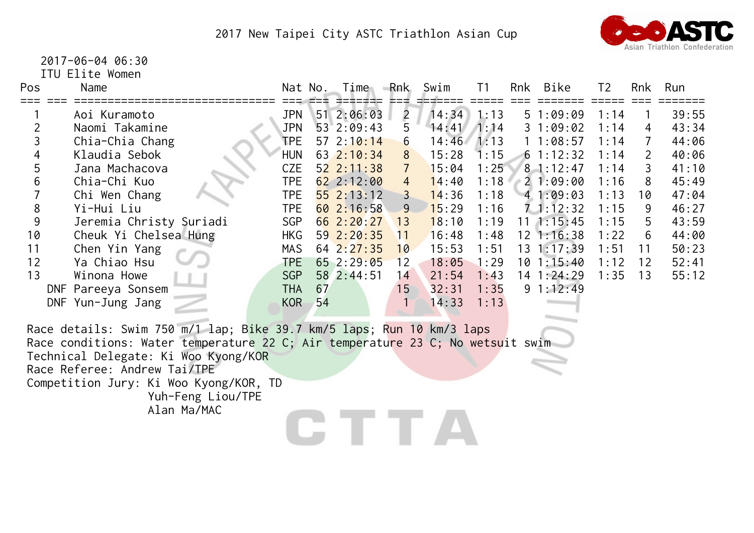

2017-06-04 06:30

ITU Elite Women

| Pos            | Name                                                                                                                                                                                                                            |            | Nat No. | Time           | Rnk            | Swim  | T1   | Rnk | Bike               | T <sub>2</sub> | Rnk            | Run   |
|----------------|---------------------------------------------------------------------------------------------------------------------------------------------------------------------------------------------------------------------------------|------------|---------|----------------|----------------|-------|------|-----|--------------------|----------------|----------------|-------|
|                | Aoi Kuramoto                                                                                                                                                                                                                    | <b>JPN</b> |         | 51 2:06:03     | $\overline{2}$ | 14:34 | 1:13 |     | 51:09:09           | 1:14           |                | 39:55 |
| $\overline{2}$ | Naomi Takamine                                                                                                                                                                                                                  | <b>JPN</b> |         | 53 2:09:43     | 5              | 14:41 | 1:14 |     | 31:09:02           | 1:14           | 4              | 43:34 |
| 3              | Chia-Chia Chang                                                                                                                                                                                                                 | <b>TPE</b> |         | 57 $2:10:14$   | 6              | 14:46 | 1:13 |     | 11:08:57           | 1:14           | $\overline{7}$ | 44:06 |
| 4              | Klaudia Sebok                                                                                                                                                                                                                   | <b>HUN</b> |         | 63 2:10:34     | 8              | 15:28 | 1:15 |     | 61:12:32           | 1:14           | $\overline{2}$ | 40:06 |
| 5              | Jana Machacova                                                                                                                                                                                                                  | <b>CZE</b> |         | 52 2:11:38     | $\overline{7}$ | 15:04 | 1:25 |     | $8 - 1:12:47$      | 1:14           | 3              | 41:10 |
| 6              | Chia-Chi Kuo                                                                                                                                                                                                                    | <b>TPE</b> |         | 622:12:00      | $\overline{4}$ | 14:40 | 1:18 |     | 21:09:00           | 1:16           | 8              | 45:49 |
|                | Chi Wen Chang                                                                                                                                                                                                                   | <b>TPE</b> |         | 552:13:12      | $\mathsf{3}$   | 14:36 | 1:18 |     | 41:09:03           | 1:13           | 10             | 47:04 |
| 8              | Yi-Hui Liu                                                                                                                                                                                                                      | <b>TPE</b> |         | 60 2:16:58     | 9              | 15:29 | 1:16 |     | $7 - 1:12:32$      | 1:15           | 9              | 46:27 |
| 9              | Jeremia Christy Suriadi                                                                                                                                                                                                         | <b>SGP</b> |         | 662:20:27      | 13             | 18:10 | 1:19 |     | $11 \quad 1:15:45$ | 1:15           | 5              | 43:59 |
| 10             | Cheuk Yi Chelsea Hung                                                                                                                                                                                                           | <b>HKG</b> |         | 59 2:20:35     | 11             | 16:48 | 1:48 |     | $12$ 1:16:38       | 1:22           | 6              | 44:00 |
| 11             | Chen Yin Yang                                                                                                                                                                                                                   | <b>MAS</b> |         | $64$ $2:27:35$ | 10             | 15:53 | 1:51 |     | 13 1:17:39         | 1:51           | 11             | 50:23 |
| 12             | Ya Chiao Hsu                                                                                                                                                                                                                    | <b>TPE</b> |         | $65$ 2:29:05   | 12             | 18:05 | 1:29 |     | $10 \t1:15:40$     | 1:12           | 12             | 52:41 |
| 13             | Winona Howe                                                                                                                                                                                                                     | <b>SGP</b> |         | 58 2:44:51     | 14             | 21:54 | 1:43 |     | 14 1:24:29         | 1:35           | 13             | 55:12 |
|                | DNF Pareeya Sonsem                                                                                                                                                                                                              | <b>THA</b> | 67      |                | 15             | 32:31 | 1:35 |     | 91:12:49           |                |                |       |
|                | DNF Yun-Jung Jang                                                                                                                                                                                                               | KOR        | 54      |                | $\mathbf{1}$   | 14:33 | 1:13 |     |                    |                |                |       |
|                |                                                                                                                                                                                                                                 |            |         |                |                |       |      |     |                    |                |                |       |
|                | Race details: Swim 750 m/1 lap; Bike 39.7 km/5 laps; Run 10 km/3 laps<br>Race conditions: Water temperature 22 C; Air temperature 23 C; No wetsuit swim<br>Technical Delegate: Ki Woo Kyong/KOR<br>Race Referee: Andrew Tai/TPE |            |         |                |                |       |      |     |                    |                |                |       |
|                | Competition Jury: Ki Woo Kyong/KOR, TD                                                                                                                                                                                          |            |         |                |                |       |      |     |                    |                |                |       |
|                | Yuh-Feng Liou/TPE                                                                                                                                                                                                               |            |         |                |                |       |      |     |                    |                |                |       |
|                | Alan Ma/MAC                                                                                                                                                                                                                     |            |         |                |                |       |      |     |                    |                |                |       |
|                |                                                                                                                                                                                                                                 |            |         |                |                |       |      |     |                    |                |                |       |
|                |                                                                                                                                                                                                                                 |            |         |                |                |       |      |     |                    |                |                |       |
|                |                                                                                                                                                                                                                                 |            |         |                |                |       |      |     |                    |                |                |       |
|                |                                                                                                                                                                                                                                 |            |         |                |                |       |      |     |                    |                |                |       |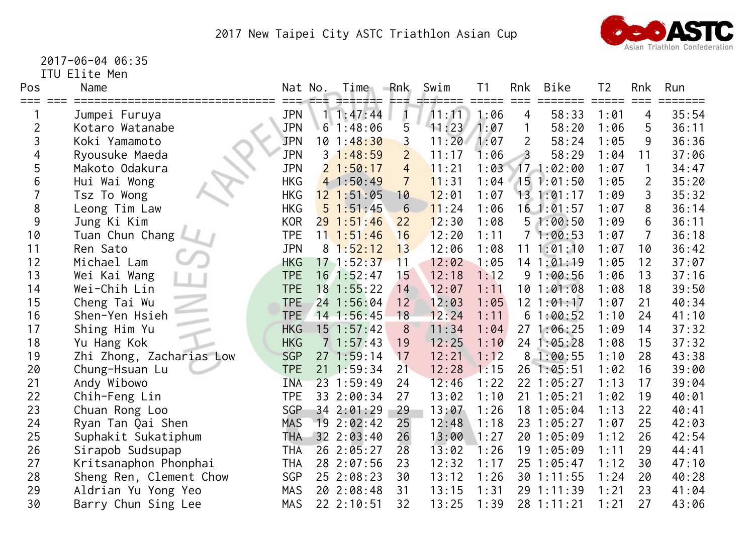

2017-06-04 06:35

ITU Elite Men

| Pos            | Name                     |            | Nat No. | Time                    | Rnk<br>드드다     | Swim  | T <sub>1</sub> | Rnk             | Bike         | T2   | <b>Rnk</b><br>$===$ | Run   |
|----------------|--------------------------|------------|---------|-------------------------|----------------|-------|----------------|-----------------|--------------|------|---------------------|-------|
|                | Jumpei Furuya            | <b>JPN</b> |         | $1 \; 1:47:44$          | $\mathbf{1}$   | 11:11 | 1:06           | 4               | 58:33        | 1:01 | 4                   | 35:54 |
| $\overline{2}$ | Kotaro Watanabe          | <b>JPN</b> |         | $6 \overline{1:} 48:06$ | 5              | 11:23 | 1:07           |                 | 58:20        | 1:06 | 5                   | 36:11 |
| 3              | Koki Yamamoto            | <b>JPN</b> |         | 101:48:30               | 3              | 11:20 | 1:07           | 2               | 58:24        | 1:05 | 9                   | 36:36 |
| 4              | Ryousuke Maeda           | <b>JPN</b> |         | 31:48:59                | $\overline{2}$ | 11:17 | 1:06           |                 | 58:29        | 1:04 | 11                  | 37:06 |
| 5              | Makoto Odakura           | <b>JPN</b> |         | 21:50:17                | $\overline{4}$ | 11:21 | 1:03           |                 | 171:02:00    | 1:07 |                     | 34:47 |
| 6              | Hui Wai Wong             | <b>HKG</b> |         | 41:50:49                | $\overline{7}$ | 11:31 | 1:04           |                 | 151:01:50    | 1:05 | $\overline{2}$      | 35:20 |
|                | Tsz To Wong              | <b>HKG</b> |         | $12$ $1:51:05$          | 10             | 12:01 | 1:07           |                 | 13.1:01:17   | 1:09 | 3                   | 35:32 |
| 8              | Leong Tim Law            | <b>HKG</b> |         | 51:51:45                | 6              | 11:24 | 1:06           |                 | $16$ 1:01:57 | 1:07 | 8                   | 36:14 |
| 9              | Jung Ki Kim              | <b>KOR</b> |         | 291:51:46               | 22             | 12:30 | 1:08           | 5               | 1:00:50      | 1:09 | 6                   | 36:11 |
| 10             | Tuan Chun Chang          | <b>TPE</b> |         | $11 \t1:51:46$          | 16             | 12:20 | 1:11           |                 | 71:00:53     | 1:07 | $\overline{7}$      | 36:18 |
| 11             | Ren Sato                 | <b>JPN</b> | 8       | 1:52:12                 | 13             | 12:06 | 1:08           | 11              | 1:01:10      | 1:07 | 10                  | 36:42 |
| 12             | Michael Lam              | <b>HKG</b> |         | $17 \t1:52:37$          | 11             | 12:02 | 1:05           |                 | $14$ 1:01:19 | 1:05 | 12                  | 37:07 |
| 13             | Wei Kai Wang             | <b>TPE</b> |         | $16$ 1:52:47            | 15             | 12:18 | 1:12           |                 | 91:00:56     | 1:06 | 13                  | 37:16 |
| 14             | Wei-Chih Lin             | <b>TPE</b> |         | $18$ 1:55:22            | 14             | 12:07 | 1:11           | 10              | 1:01:08      | 1:08 | 18                  | 39:50 |
| 15             | Cheng Tai Wu             | <b>TPE</b> |         | 24 1:56:04              | 12             | 12:03 | 1:05           | 12 <sup>°</sup> | 1:01:17      | 1:07 | 21                  | 40:34 |
| 16             | Shen-Yen Hsieh           | <b>TPE</b> |         | $14$ 1:56:45            | 18             | 12:24 | 1:11           | 6               | 1:00:52      | 1:10 | 24                  | 41:10 |
| 17             | Shing Him Yu             | <b>HKG</b> |         | $15$ $1:57:42$          | 8              | 11:34 | 1:04           | 27              | 1:06:25      | 1:09 | 14                  | 37:32 |
| 18             | Yu Hang Kok              | <b>HKG</b> |         | 71:57:43                | 19             | 12:25 | 1:10           | 24              | 1:05:28      | 1:08 | 15                  | 37:32 |
| 19             | Zhi Zhong, Zacharias Low | <b>SGP</b> |         | 271:59:14               | 17             | 12:21 | 1:12           | 8               | 1:00:55      | 1:10 | 28                  | 43:38 |
| 20             | Chung-Hsuan Lu           | <b>TPE</b> |         | $21 \t1:59:34$          | 21             | 12:28 | 1:15           | 26              | 1:05:51      | 1:02 | 16                  | 39:00 |
| 21             | Andy Wibowo              | <b>INA</b> |         | 23 1:59:49              | 24             | 12:46 | 1:22           | 22              | 1:05:27      | 1:13 | 17                  | 39:04 |
| 22             | Chih-Feng Lin            | <b>TPE</b> |         | 33 2:00:34              | 27             | 13:02 | 1:10           | 21              | 1:05:21      | 1:02 | 19                  | 40:01 |
| 23             | Chuan Rong Loo           | <b>SGP</b> |         | 34 2:01:29              | 29             | 13:07 | 1:26           |                 | 18 1:05:04   | 1:13 | 22                  | 40:41 |
| 24             | Ryan Tan Qai Shen        | <b>MAS</b> |         | 19 2:02:42              | 25             | 12:48 | 1:18           | 23              | 1:05:27      | 1:07 | 25                  | 42:03 |
| 25             | Suphakit Sukatiphum      | <b>THA</b> |         | $32 \t2:03:40$          | 26             | 13:00 | 1:27           | 20              | 1:05:09      | 1:12 | 26                  | 42:54 |
| 26             | Sirapob Sudsupap         | <b>THA</b> |         | 26 2:05:27              | 28             | 13:02 | 1:26           | 19              | 1:05:09      | 1:11 | 29                  | 44:41 |
| 27             | Kritsanaphon Phonphai    | <b>THA</b> |         | 28 2:07:56              | 23             | 12:32 | 1:17           | 25              | 1:05:47      | 1:12 | 30                  | 47:10 |
| 28             | Sheng Ren, Clement Chow  | <b>SGP</b> |         | 25 2:08:23              | 30             | 13:12 | 1:26           | 30              | 1:11:55      | 1:24 | 20                  | 40:28 |
| 29             | Aldrian Yu Yong Yeo      | <b>MAS</b> |         | 20 2:08:48              | 31             | 13:15 | 1:31           | 29              | 1:11:39      | 1:21 | 23                  | 41:04 |
| 30             | Barry Chun Sing Lee      | <b>MAS</b> |         | 22 2:10:51              | 32             | 13:25 | 1:39           |                 | 28 1:11:21   | 1:21 | 27                  | 43:06 |